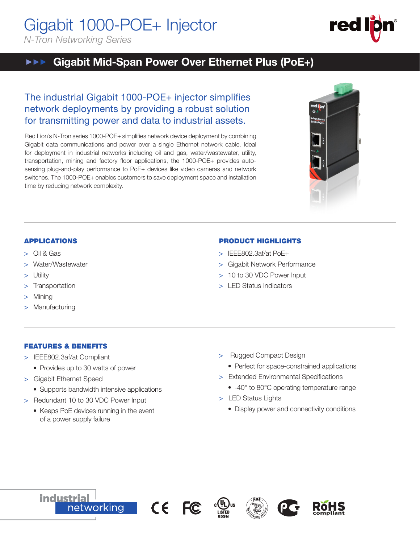Gigabit 1000-POE+ Injector *N-Tron Networking Series*

#### Gigabit Mid-Span Power Over Ethernet Plus (PoE+)  $\blacktriangleright\blacktriangleright\blacktriangleright\blacktriangleright$

# The industrial Gigabit 1000-POE+ injector simplifies network deployments by providing a robust solution for transmitting power and data to industrial assets.

Red Lion's N-Tron series 1000-POE+ simplifies network device deployment by combining Gigabit data communications and power over a single Ethernet network cable. Ideal for deployment in industrial networks including oil and gas, water/wastewater, utility, transportation, mining and factory floor applications, the 1000-POE+ provides autosensing plug-and-play performance to PoE+ devices like video cameras and network switches. The 1000-POE+ enables customers to save deployment space and installation time by reducing network complexity.



- > IEEE802.3af/at PoE+
- > Gigabit Network Performance
- > 10 to 30 VDC Power Input
- > LED Status Indicators

# APPLICATIONS

- > Oil & Gas
- Water/Wastewater
- **Utility**
- > Transportation
- **Mining**
- Manufacturing

# FEATURES & BENEFITS

- > IEEE802.3af/at Compliant
	- Provides up to 30 watts of power
- > Gigabit Ethernet Speed
	- Supports bandwidth intensive applications
- > Redundant 10 to 30 VDC Power Input
	- Keeps PoE devices running in the event of a power supply failure
- > Rugged Compact Design
	- Perfect for space-constrained applications
- > Extended Environmental Specifications
	- -40° to 80°C operating temperature range
- > LED Status Lights
	- Display power and connectivity conditions